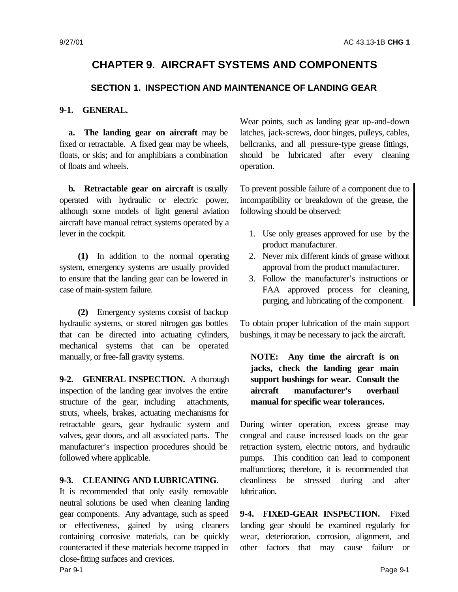# **CHAPTER 9. AIRCRAFT SYSTEMS AND COMPONENTS**

## **SECTION 1. INSPECTION AND MAINTENANCE OF LANDING GEAR**

#### **9-1. GENERAL.**

**a. The landing gear on aircraft** may be fixed or retractable. A fixed gear may be wheels, floats, or skis; and for amphibians a combination of floats and wheels.

**b. Retractable gear on aircraft** is usually operated with hydraulic or electric power, although some models of light general aviation aircraft have manual retract systems operated by a lever in the cockpit.

**(1)** In addition to the normal operating system, emergency systems are usually provided to ensure that the landing gear can be lowered in case of main-system failure.

**(2)** Emergency systems consist of backup hydraulic systems, or stored nitrogen gas bottles that can be directed into actuating cylinders, mechanical systems that can be operated manually, or free-fall gravity systems.

**9-2. GENERAL INSPECTION.** A thorough inspection of the landing gear involves the entire structure of the gear, including attachments, struts, wheels, brakes, actuating mechanisms for retractable gears, gear hydraulic system and valves, gear doors, and all associated parts. The manufacturer's inspection procedures should be followed where applicable.

### **9-3. CLEANING AND LUBRICATING.**

It is recommended that only easily removable neutral solutions be used when cleaning landing gear components. Any advantage, such as speed or effectiveness, gained by using cleaners containing corrosive materials, can be quickly counteracted if these materials become trapped in close-fitting surfaces and crevices.

Wear points, such as landing gear up-and-down latches, jack-screws, door hinges, pulleys, cables, bellcranks, and all pressure-type grease fittings, should be lubricated after every cleaning operation.

To prevent possible failure of a component due to incompatibility or breakdown of the grease, the following should be observed:

- 1. Use only greases approved for use by the product manufacturer.
- 2. Never mix different kinds of grease without approval from the product manufacturer.
- 3. Follow the manufacturer's instructions or FAA approved process for cleaning, purging, and lubricating of the component.

To obtain proper lubrication of the main support bushings, it may be necessary to jack the aircraft.

**NOTE: Any time the aircraft is on jacks, check the landing gear main support bushings for wear. Consult the aircraft manufacturer's overhaul manual for specific wear tolerances.**

During winter operation, excess grease may congeal and cause increased loads on the gear retraction system, electric motors, and hydraulic pumps. This condition can lead to component malfunctions; therefore, it is recommended that cleanliness be stressed during and after lubrication.

**9-4. FIXED-GEAR INSPECTION.** Fixed landing gear should be examined regularly for wear, deterioration, corrosion, alignment, and other factors that may cause failure or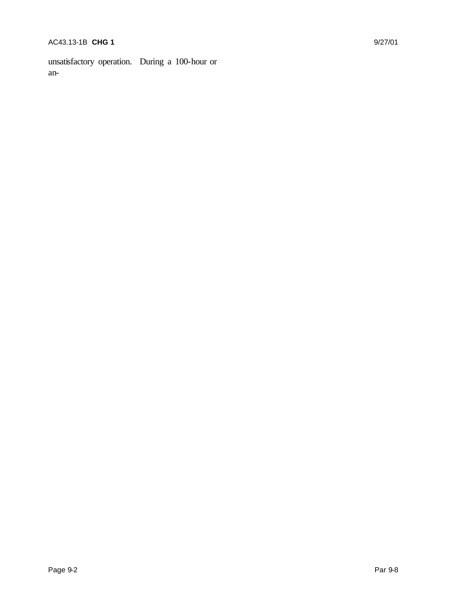unsatisfactory operation. During a 100-hour or an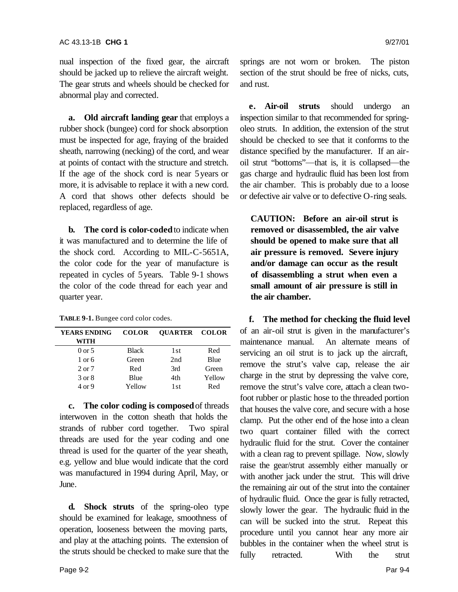nual inspection of the fixed gear, the aircraft should be jacked up to relieve the aircraft weight. The gear struts and wheels should be checked for abnormal play and corrected.

**a. Old aircraft landing gear** that employs a rubber shock (bungee) cord for shock absorption must be inspected for age, fraying of the braided sheath, narrowing (necking) of the cord, and wear at points of contact with the structure and stretch. If the age of the shock cord is near 5years or more, it is advisable to replace it with a new cord. A cord that shows other defects should be replaced, regardless of age.

**b. The cord is color-coded** to indicate when it was manufactured and to determine the life of the shock cord. According to MIL-C-5651A, the color code for the year of manufacture is repeated in cycles of 5years. Table 9-1 shows the color of the code thread for each year and quarter year.

**TABLE 9-1.** Bungee cord color codes.

| <b>YEARS ENDING</b> | <b>COLOR</b> | <b>OUARTER</b> | <b>COLOR</b> |
|---------------------|--------------|----------------|--------------|
| WITH                |              |                |              |
| $0 \text{ or } 5$   | <b>Black</b> | 1st            | Red          |
| $1$ or $6$          | Green        | 2nd            | Blue         |
| $2$ or $7$          | Red          | 3rd            | Green        |
| 3 or 8              | Blue         | 4th            | Yellow       |
| $4$ or 9            | Yellow       | 1st            | Red          |

**c. The color coding is composed** of threads interwoven in the cotton sheath that holds the strands of rubber cord together. Two spiral threads are used for the year coding and one thread is used for the quarter of the year sheath, e.g. yellow and blue would indicate that the cord was manufactured in 1994 during April, May, or June.

**d. Shock struts** of the spring-oleo type should be examined for leakage, smoothness of operation, looseness between the moving parts, and play at the attaching points. The extension of the struts should be checked to make sure that the

Page 9-2 Page 9-2 Page 9-2 Page 9-2 Page 9-2 Page 9-2 Page 9-2 Page 9-2 Page 9-2 Page 9-2 Page 9-4 Page 9-4 Page

springs are not worn or broken. The piston section of the strut should be free of nicks, cuts, and rust.

**e. Air-oil struts** should undergo an inspection similar to that recommended for springoleo struts. In addition, the extension of the strut should be checked to see that it conforms to the distance specified by the manufacturer. If an airoil strut "bottoms"—that is, it is collapsed—the gas charge and hydraulic fluid has been lost from the air chamber. This is probably due to a loose or defective air valve or to defective O-ring seals.

**CAUTION: Before an air-oil strut is removed or disassembled, the air valve should be opened to make sure that all air pressure is removed. Severe injury and/or damage can occur as the result of disassembling a strut when even a small amount of air pressure is still in the air chamber.**

**f. The method for checking the fluid level** of an air-oil strut is given in the manufacturer's maintenance manual. An alternate means of servicing an oil strut is to jack up the aircraft, remove the strut's valve cap, release the air charge in the strut by depressing the valve core, remove the strut's valve core, attach a clean twofoot rubber or plastic hose to the threaded portion that houses the valve core, and secure with a hose clamp. Put the other end of the hose into a clean two quart container filled with the correct hydraulic fluid for the strut. Cover the container with a clean rag to prevent spillage. Now, slowly raise the gear/strut assembly either manually or with another jack under the strut. This will drive the remaining air out of the strut into the container of hydraulic fluid. Once the gear is fully retracted, slowly lower the gear. The hydraulic fluid in the can will be sucked into the strut. Repeat this procedure until you cannot hear any more air bubbles in the container when the wheel strut is fully retracted. With the strut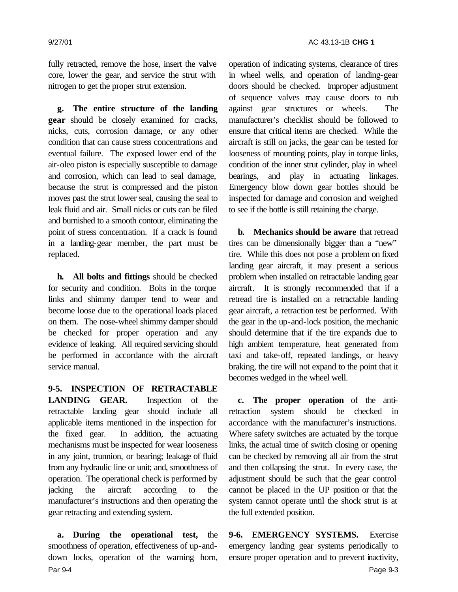fully retracted, remove the hose, insert the valve core, lower the gear, and service the strut with nitrogen to get the proper strut extension.

**g. The entire structure of the landing gear** should be closely examined for cracks, nicks, cuts, corrosion damage, or any other condition that can cause stress concentrations and eventual failure. The exposed lower end of the air-oleo piston is especially susceptible to damage and corrosion, which can lead to seal damage, because the strut is compressed and the piston moves past the strut lower seal, causing the seal to leak fluid and air. Small nicks or cuts can be filed and burnished to a smooth contour, eliminating the point of stress concentration. If a crack is found in a landing-gear member, the part must be replaced.

**h. All bolts and fittings** should be checked for security and condition. Bolts in the torque links and shimmy damper tend to wear and become loose due to the operational loads placed on them. The nose-wheel shimmy damper should be checked for proper operation and any evidence of leaking. All required servicing should be performed in accordance with the aircraft service manual.

**9-5. INSPECTION OF RETRACTABLE LANDING GEAR.** Inspection of the retractable landing gear should include all applicable items mentioned in the inspection for the fixed gear. In addition, the actuating mechanisms must be inspected for wear looseness in any joint, trunnion, or bearing; leakage of fluid from any hydraulic line or unit; and, smoothness of operation. The operational check is performed by jacking the aircraft according to the manufacturer's instructions and then operating the gear retracting and extending system.

Par 9-4 Page 9-3 **a. During the operational test,** the smoothness of operation, effectiveness of up-anddown locks, operation of the warning horn,

operation of indicating systems, clearance of tires in wheel wells, and operation of landing-gear doors should be checked. Improper adjustment of sequence valves may cause doors to rub against gear structures or wheels. The manufacturer's checklist should be followed to ensure that critical items are checked. While the aircraft is still on jacks, the gear can be tested for looseness of mounting points, play in torque links, condition of the inner strut cylinder, play in wheel bearings, and play in actuating linkages. Emergency blow down gear bottles should be inspected for damage and corrosion and weighed to see if the bottle is still retaining the charge.

**b. Mechanics should be aware** that retread tires can be dimensionally bigger than a "new" tire. While this does not pose a problem on fixed landing gear aircraft, it may present a serious problem when installed on retractable landing gear aircraft. It is strongly recommended that if a retread tire is installed on a retractable landing gear aircraft, a retraction test be performed. With the gear in the up-and-lock position, the mechanic should determine that if the tire expands due to high ambient temperature, heat generated from taxi and take-off, repeated landings, or heavy braking, the tire will not expand to the point that it becomes wedged in the wheel well.

**c. The proper operation** of the antiretraction system should be checked in accordance with the manufacturer's instructions. Where safety switches are actuated by the torque links, the actual time of switch closing or opening can be checked by removing all air from the strut and then collapsing the strut. In every case, the adjustment should be such that the gear control cannot be placed in the UP position or that the system cannot operate until the shock strut is at the full extended position.

**9-6. EMERGENCY SYSTEMS.** Exercise emergency landing gear systems periodically to ensure proper operation and to prevent inactivity,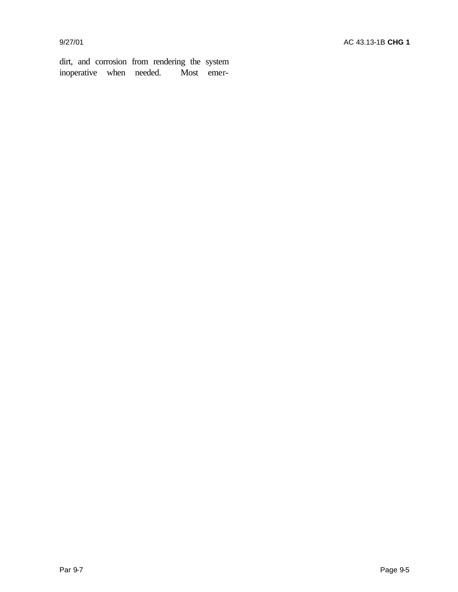dirt, and corrosion from rendering the system inoperative when needed. Most emer-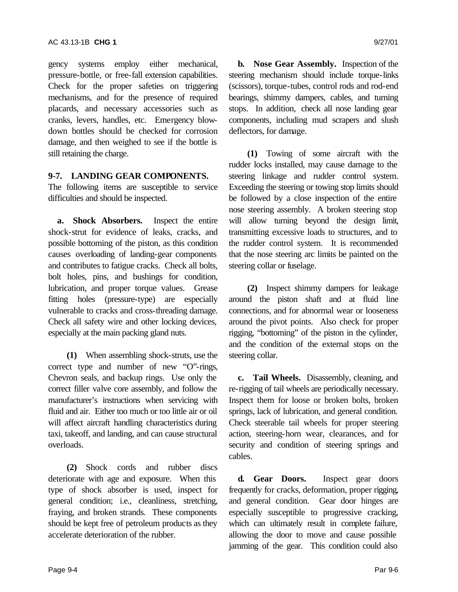gency systems employ either mechanical, pressure-bottle, or free-fall extension capabilities. Check for the proper safeties on triggering mechanisms, and for the presence of required placards, and necessary accessories such as cranks, levers, handles, etc. Emergency blowdown bottles should be checked for corrosion damage, and then weighed to see if the bottle is still retaining the charge.

#### **9-7. LANDING GEAR COMPONENTS.**

The following items are susceptible to service difficulties and should be inspected.

**a. Shock Absorbers.** Inspect the entire shock-strut for evidence of leaks, cracks, and possible bottoming of the piston, as this condition causes overloading of landing-gear components and contributes to fatigue cracks. Check all bolts, bolt holes, pins, and bushings for condition, lubrication, and proper torque values. Grease fitting holes (pressure-type) are especially vulnerable to cracks and cross-threading damage. Check all safety wire and other locking devices, especially at the main packing gland nuts.

**(1)** When assembling shock-struts, use the correct type and number of new "O"-rings, Chevron seals, and backup rings. Use only the correct filler valve core assembly, and follow the manufacturer's instructions when servicing with fluid and air. Either too much or too little air or oil will affect aircraft handling characteristics during taxi, takeoff, and landing, and can cause structural overloads.

**(2)** Shock cords and rubber discs deteriorate with age and exposure. When this type of shock absorber is used, inspect for general condition; i.e., cleanliness, stretching, fraying, and broken strands. These components should be kept free of petroleum products as they accelerate deterioration of the rubber.

**b. Nose Gear Assembly.** Inspection of the steering mechanism should include torque-links (scissors), torque-tubes, control rods and rod-end bearings, shimmy dampers, cables, and turning stops. In addition, check all nose landing gear components, including mud scrapers and slush deflectors, for damage.

**(1)** Towing of some aircraft with the rudder locks installed, may cause damage to the steering linkage and rudder control system. Exceeding the steering or towing stop limits should be followed by a close inspection of the entire nose steering assembly. A broken steering stop will allow turning beyond the design limit, transmitting excessive loads to structures, and to the rudder control system. It is recommended that the nose steering arc limits be painted on the steering collar or fuselage.

**(2)** Inspect shimmy dampers for leakage around the piston shaft and at fluid line connections, and for abnormal wear or looseness around the pivot points. Also check for proper rigging, "bottoming" of the piston in the cylinder, and the condition of the external stops on the steering collar.

**c. Tail Wheels.** Disassembly, cleaning, and re-rigging of tail wheels are periodically necessary. Inspect them for loose or broken bolts, broken springs, lack of lubrication, and general condition. Check steerable tail wheels for proper steering action, steering-horn wear, clearances, and for security and condition of steering springs and cables.

**d. Gear Doors.** Inspect gear doors frequently for cracks, deformation, proper rigging, and general condition. Gear door hinges are especially susceptible to progressive cracking, which can ultimately result in complete failure, allowing the door to move and cause possible jamming of the gear. This condition could also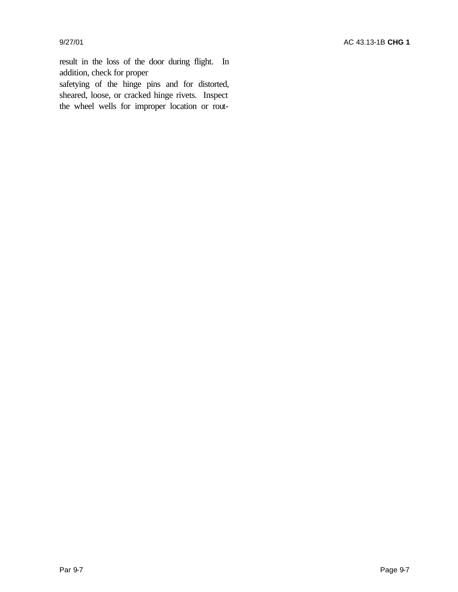result in the loss of the door during flight. In addition, check for proper

safetying of the hinge pins and for distorted, sheared, loose, or cracked hinge rivets. Inspect the wheel wells for improper location or rout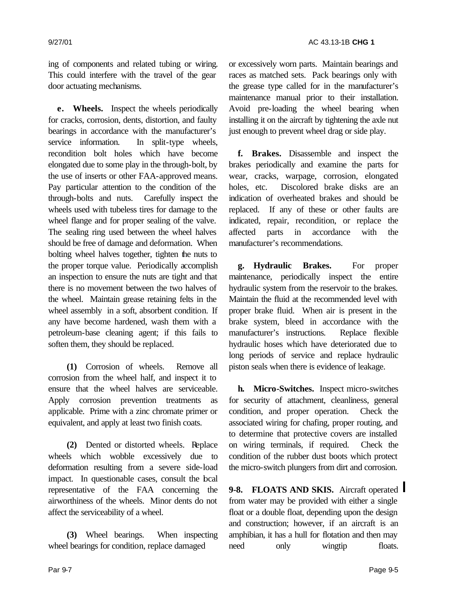ing of components and related tubing or wiring. This could interfere with the travel of the gear door actuating mechanisms.

**e. Wheels.** Inspect the wheels periodically for cracks, corrosion, dents, distortion, and faulty bearings in accordance with the manufacturer's service information. In split-type wheels, recondition bolt holes which have become elongated due to some play in the through-bolt, by the use of inserts or other FAA-approved means. Pay particular attention to the condition of the through-bolts and nuts. Carefully inspect the wheels used with tubeless tires for damage to the wheel flange and for proper sealing of the valve. The sealing ring used between the wheel halves should be free of damage and deformation. When bolting wheel halves together, tighten the nuts to the proper torque value. Periodically accomplish an inspection to ensure the nuts are tight and that there is no movement between the two halves of the wheel. Maintain grease retaining felts in the wheel assembly in a soft, absorbent condition. If any have become hardened, wash them with a petroleum-base cleaning agent; if this fails to soften them, they should be replaced.

**(1)** Corrosion of wheels. Remove all corrosion from the wheel half, and inspect it to ensure that the wheel halves are serviceable. Apply corrosion prevention treatments as applicable. Prime with a zinc chromate primer or equivalent, and apply at least two finish coats.

**(2)** Dented or distorted wheels. Replace wheels which wobble excessively due to deformation resulting from a severe side-load impact. In questionable cases, consult the bcal representative of the FAA concerning the airworthiness of the wheels. Minor dents do not affect the serviceability of a wheel.

**(3)** Wheel bearings. When inspecting wheel bearings for condition, replace damaged

or excessively worn parts. Maintain bearings and races as matched sets. Pack bearings only with the grease type called for in the manufacturer's maintenance manual prior to their installation. Avoid pre-loading the wheel bearing when installing it on the aircraft by tightening the axle nut just enough to prevent wheel drag or side play.

**f. Brakes.** Disassemble and inspect the brakes periodically and examine the parts for wear, cracks, warpage, corrosion, elongated holes, etc. Discolored brake disks are an indication of overheated brakes and should be replaced. If any of these or other faults are indicated, repair, recondition, or replace the affected parts in accordance with the manufacturer's recommendations.

**g. Hydraulic Brakes.** For proper maintenance, periodically inspect the entire hydraulic system from the reservoir to the brakes. Maintain the fluid at the recommended level with proper brake fluid. When air is present in the brake system, bleed in accordance with the manufacturer's instructions. Replace flexible hydraulic hoses which have deteriorated due to long periods of service and replace hydraulic piston seals when there is evidence of leakage.

**h. Micro-Switches.** Inspect micro-switches for security of attachment, cleanliness, general condition, and proper operation. Check the associated wiring for chafing, proper routing, and to determine that protective covers are installed on wiring terminals, if required. Check the condition of the rubber dust boots which protect the micro-switch plungers from dirt and corrosion.

**9-8. FLOATS AND SKIS.** Aircraft operated from water may be provided with either a single float or a double float, depending upon the design and construction; however, if an aircraft is an amphibian, it has a hull for flotation and then may need only wingtip floats.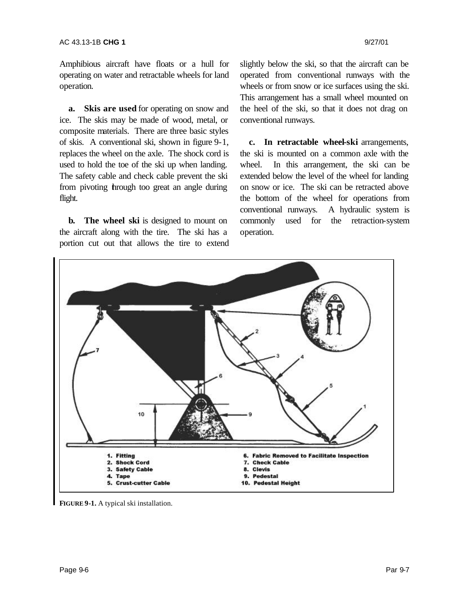Amphibious aircraft have floats or a hull for operating on water and retractable wheels for land operation.

**a. Skis are used** for operating on snow and ice. The skis may be made of wood, metal, or composite materials. There are three basic styles of skis. A conventional ski, shown in figure 9-1, replaces the wheel on the axle. The shock cord is used to hold the toe of the ski up when landing. The safety cable and check cable prevent the ski from pivoting through too great an angle during flight.

**b. The wheel ski** is designed to mount on the aircraft along with the tire. The ski has a portion cut out that allows the tire to extend slightly below the ski, so that the aircraft can be operated from conventional runways with the wheels or from snow or ice surfaces using the ski. This arrangement has a small wheel mounted on the heel of the ski, so that it does not drag on conventional runways.

**c. In retractable wheel-ski** arrangements, the ski is mounted on a common axle with the wheel. In this arrangement, the ski can be extended below the level of the wheel for landing on snow or ice. The ski can be retracted above the bottom of the wheel for operations from conventional runways. A hydraulic system is commonly used for the retraction-system operation.



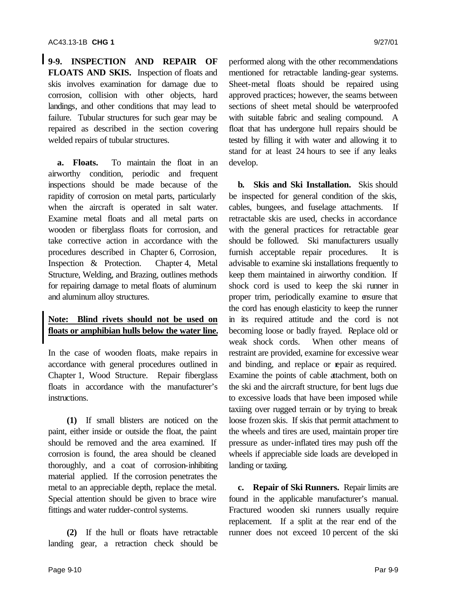**9-9. INSPECTION AND REPAIR OF FLOATS AND SKIS.** Inspection of floats and skis involves examination for damage due to corrosion, collision with other objects, hard landings, and other conditions that may lead to failure. Tubular structures for such gear may be repaired as described in the section covering welded repairs of tubular structures.

**a. Floats.** To maintain the float in an airworthy condition, periodic and frequent inspections should be made because of the rapidity of corrosion on metal parts, particularly when the aircraft is operated in salt water. Examine metal floats and all metal parts on wooden or fiberglass floats for corrosion, and take corrective action in accordance with the procedures described in Chapter 6, Corrosion, Inspection & Protection. Chapter 4, Metal Structure, Welding, and Brazing, outlines methods for repairing damage to metal floats of aluminum and aluminum alloy structures.

# **Note: Blind rivets should not be used on floats or amphibian hulls below the water line.**

In the case of wooden floats, make repairs in accordance with general procedures outlined in Chapter 1, Wood Structure. Repair fiberglass floats in accordance with the manufacturer's instructions.

**(1)** If small blisters are noticed on the paint, either inside or outside the float, the paint should be removed and the area examined. If corrosion is found, the area should be cleaned thoroughly, and a coat of corrosion-inhibiting material applied. If the corrosion penetrates the metal to an appreciable depth, replace the metal. Special attention should be given to brace wire fittings and water rudder-control systems.

**(2)** If the hull or floats have retractable landing gear, a retraction check should be performed along with the other recommendations mentioned for retractable landing-gear systems. Sheet-metal floats should be repaired using approved practices; however, the seams between sections of sheet metal should be waterproofed with suitable fabric and sealing compound. A float that has undergone hull repairs should be tested by filling it with water and allowing it to stand for at least 24 hours to see if any leaks develop.

**b. Skis and Ski Installation.** Skis should be inspected for general condition of the skis, cables, bungees, and fuselage attachments. If retractable skis are used, checks in accordance with the general practices for retractable gear should be followed. Ski manufacturers usually furnish acceptable repair procedures. It is advisable to examine ski installations frequently to keep them maintained in airworthy condition. If shock cord is used to keep the ski runner in proper trim, periodically examine to ensure that the cord has enough elasticity to keep the runner in its required attitude and the cord is not becoming loose or badly frayed. Replace old or weak shock cords. When other means of restraint are provided, examine for excessive wear and binding, and replace or repair as required. Examine the points of cable attachment, both on the ski and the aircraft structure, for bent lugs due to excessive loads that have been imposed while taxiing over rugged terrain or by trying to break loose frozen skis. If skis that permit attachment to the wheels and tires are used, maintain proper tire pressure as under-inflated tires may push off the wheels if appreciable side loads are developed in landing or taxiing.

**c. Repair of Ski Runners.** Repair limits are found in the applicable manufacturer's manual. Fractured wooden ski runners usually require replacement. If a split at the rear end of the runner does not exceed 10 percent of the ski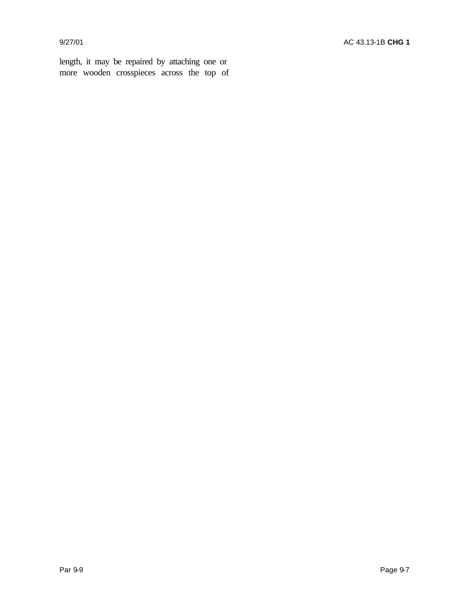length, it may be repaired by attaching one or more wooden crosspieces across the top of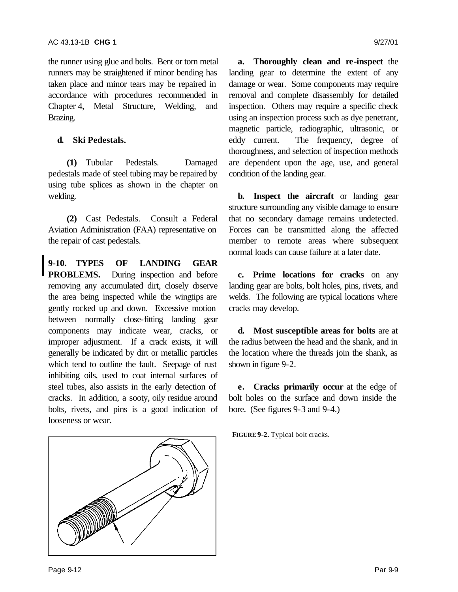the runner using glue and bolts. Bent or torn metal runners may be straightened if minor bending has taken place and minor tears may be repaired in accordance with procedures recommended in Chapter 4, Metal Structure, Welding, and Brazing.

### **d. Ski Pedestals.**

**(1)** Tubular Pedestals. Damaged pedestals made of steel tubing may be repaired by using tube splices as shown in the chapter on welding.

**(2)** Cast Pedestals. Consult a Federal Aviation Administration (FAA) representative on the repair of cast pedestals.

**9-10. TYPES OF LANDING GEAR PROBLEMS.** During inspection and before removing any accumulated dirt, closely doserve the area being inspected while the wingtips are gently rocked up and down. Excessive motion between normally close-fitting landing gear components may indicate wear, cracks, or improper adjustment. If a crack exists, it will generally be indicated by dirt or metallic particles which tend to outline the fault. Seepage of rust inhibiting oils, used to coat internal surfaces of steel tubes, also assists in the early detection of cracks. In addition, a sooty, oily residue around bolts, rivets, and pins is a good indication of looseness or wear.



**a. Thoroughly clean and re-inspect** the landing gear to determine the extent of any damage or wear. Some components may require removal and complete disassembly for detailed inspection. Others may require a specific check using an inspection process such as dye penetrant, magnetic particle, radiographic, ultrasonic, or eddy current. The frequency, degree of thoroughness, and selection of inspection methods are dependent upon the age, use, and general condition of the landing gear.

**b. Inspect the aircraft** or landing gear structure surrounding any visible damage to ensure that no secondary damage remains undetected. Forces can be transmitted along the affected member to remote areas where subsequent normal loads can cause failure at a later date.

**c. Prime locations for cracks** on any landing gear are bolts, bolt holes, pins, rivets, and welds. The following are typical locations where cracks may develop.

**d. Most susceptible areas for bolts** are at the radius between the head and the shank, and in the location where the threads join the shank, as shown in figure 9-2.

**e. Cracks primarily occur** at the edge of bolt holes on the surface and down inside the bore. (See figures 9-3 and 9-4.)

**FIGURE 9-2.** Typical bolt cracks.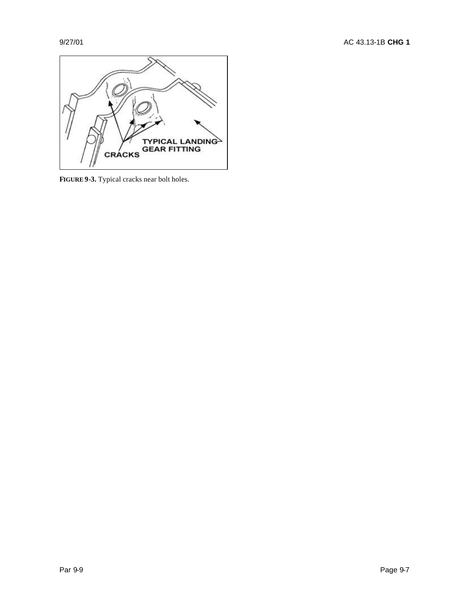

**FIGURE 9-3.** Typical cracks near bolt holes.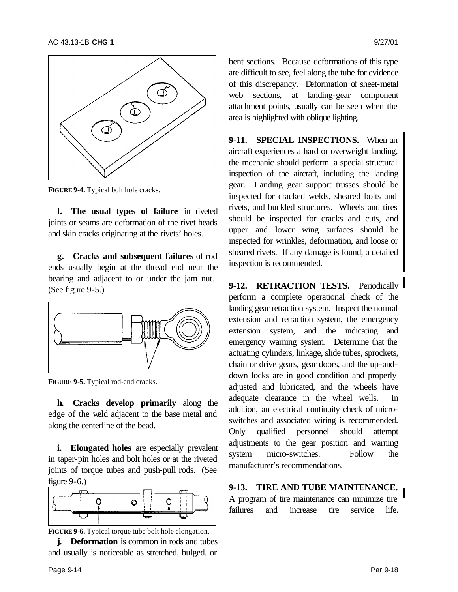

**FIGURE 9-4.** Typical bolt hole cracks.

**f. The usual types of failure** in riveted joints or seams are deformation of the rivet heads and skin cracks originating at the rivets' holes.

**g. Cracks and subsequent failures** of rod ends usually begin at the thread end near the bearing and adjacent to or under the jam nut. (See figure 9-5.)



**FIGURE 9-5.** Typical rod-end cracks.

**h. Cracks develop primarily** along the edge of the weld adjacent to the base metal and along the centerline of the bead.

**i. Elongated holes** are especially prevalent in taper-pin holes and bolt holes or at the riveted joints of torque tubes and push-pull rods. (See figure  $9-6.$ )



**FIGURE 9-6.** Typical torque tube bolt hole elongation.

**j. Deformation** is common in rods and tubes and usually is noticeable as stretched, bulged, or bent sections. Because deformations of this type are difficult to see, feel along the tube for evidence of this discrepancy. Deformation of sheet-metal web sections, at landing-gear component attachment points, usually can be seen when the area is highlighted with oblique lighting.

**9-11. SPECIAL INSPECTIONS.** When an aircraft experiences a hard or overweight landing, the mechanic should perform a special structural inspection of the aircraft, including the landing gear. Landing gear support trusses should be inspected for cracked welds, sheared bolts and rivets, and buckled structures. Wheels and tires should be inspected for cracks and cuts, and upper and lower wing surfaces should be inspected for wrinkles, deformation, and loose or sheared rivets. If any damage is found, a detailed inspection is recommended.

**9-12. RETRACTION TESTS.** Periodically perform a complete operational check of the landing gear retraction system. Inspect the normal extension and retraction system, the emergency extension system, and the indicating and emergency warning system. Determine that the actuating cylinders, linkage, slide tubes, sprockets, chain or drive gears, gear doors, and the up-anddown locks are in good condition and properly adjusted and lubricated, and the wheels have adequate clearance in the wheel wells. In addition, an electrical continuity check of microswitches and associated wiring is recommended. Only qualified personnel should attempt adjustments to the gear position and warning system micro-switches. Follow the manufacturer's recommendations.

**9-13. TIRE AND TUBE MAINTENANCE.** A program of tire maintenance can minimize tire failures and increase tire service life.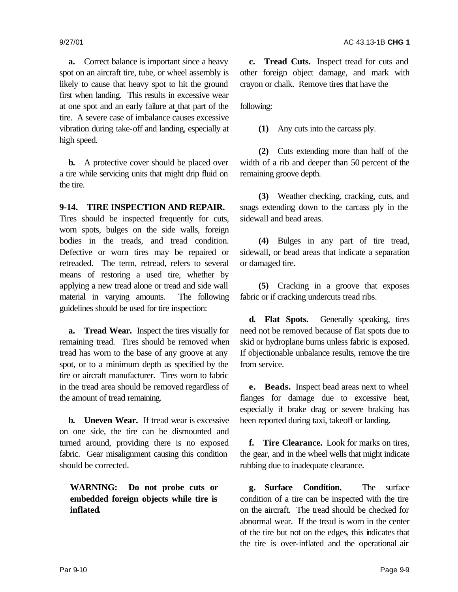**a.** Correct balance is important since a heavy spot on an aircraft tire, tube, or wheel assembly is likely to cause that heavy spot to hit the ground first when landing. This results in excessive wear at one spot and an early failure at that part of the tire. A severe case of imbalance causes excessive vibration during take-off and landing, especially at high speed.

**b.** A protective cover should be placed over a tire while servicing units that might drip fluid on the tire.

**9-14. TIRE INSPECTION AND REPAIR.** 

Tires should be inspected frequently for cuts, worn spots, bulges on the side walls, foreign bodies in the treads, and tread condition. Defective or worn tires may be repaired or retreaded. The term, retread, refers to several means of restoring a used tire, whether by applying a new tread alone or tread and side wall material in varying amounts. The following guidelines should be used for tire inspection:

**a. Tread Wear.** Inspect the tires visually for remaining tread. Tires should be removed when tread has worn to the base of any groove at any spot, or to a minimum depth as specified by the tire or aircraft manufacturer. Tires worn to fabric in the tread area should be removed regardless of the amount of tread remaining.

**b. Uneven Wear.** If tread wear is excessive on one side, the tire can be dismounted and turned around, providing there is no exposed fabric. Gear misalignment causing this condition should be corrected.

**WARNING: Do not probe cuts or embedded foreign objects while tire is inflated.**

**c. Tread Cuts.** Inspect tread for cuts and other foreign object damage, and mark with crayon or chalk. Remove tires that have the

following:

**(1)** Any cuts into the carcass ply.

**(2)** Cuts extending more than half of the width of a rib and deeper than 50 percent of the remaining groove depth.

**(3)** Weather checking, cracking, cuts, and snags extending down to the carcass ply in the sidewall and bead areas.

**(4)** Bulges in any part of tire tread, sidewall, or bead areas that indicate a separation or damaged tire.

**(5)** Cracking in a groove that exposes fabric or if cracking undercuts tread ribs.

**d. Flat Spots.** Generally speaking, tires need not be removed because of flat spots due to skid or hydroplane burns unless fabric is exposed. If objectionable unbalance results, remove the tire from service.

**e. Beads.** Inspect bead areas next to wheel flanges for damage due to excessive heat, especially if brake drag or severe braking has been reported during taxi, takeoff or landing.

**f. Tire Clearance.** Look for marks on tires, the gear, and in the wheel wells that might indicate rubbing due to inadequate clearance.

**g. Surface Condition.** The surface condition of a tire can be inspected with the tire on the aircraft. The tread should be checked for abnormal wear. If the tread is worn in the center of the tire but not on the edges, this indicates that the tire is over-inflated and the operational air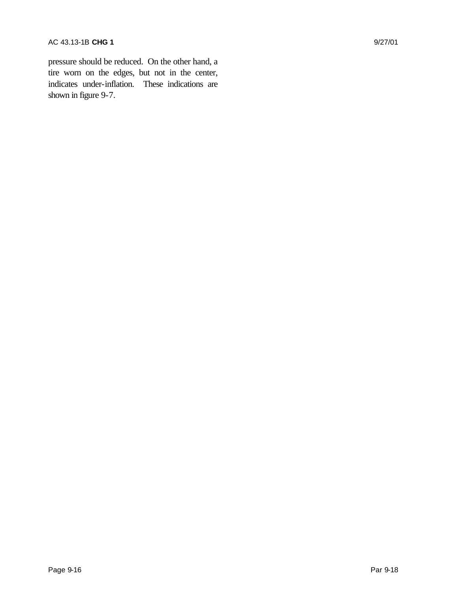pressure should be reduced. On the other hand, a tire worn on the edges, but not in the center, indicates under-inflation. These indications are shown in figure 9-7.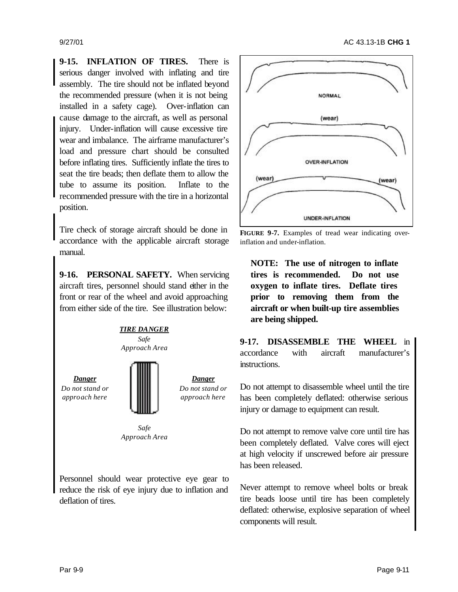**9-15. INFLATION OF TIRES.** There is serious danger involved with inflating and tire assembly. The tire should not be inflated beyond the recommended pressure (when it is not being installed in a safety cage). Over-inflation can cause damage to the aircraft, as well as personal injury. Under-inflation will cause excessive tire wear and imbalance. The airframe manufacturer's load and pressure chart should be consulted before inflating tires. Sufficiently inflate the tires to seat the tire beads; then deflate them to allow the tube to assume its position. Inflate to the recommended pressure with the tire in a horizontal position.

Tire check of storage aircraft should be done in accordance with the applicable aircraft storage manual.

**9-16. PERSONAL SAFETY.** When servicing aircraft tires, personnel should stand either in the front or rear of the wheel and avoid approaching from either side of the tire. See illustration below:



*Safe Approach Area*

*Danger Do not stand or approach here*



*Danger*

*Safe Approach Area*

Personnel should wear protective eye gear to reduce the risk of eye injury due to inflation and deflation of tires.



**FIGURE 9-7.** Examples of tread wear indicating overinflation and under-inflation.

**NOTE: The use of nitrogen to inflate tires is recommended. Do not use oxygen to inflate tires. Deflate tires prior to removing them from the aircraft or when built-up tire assemblies are being shipped.**

**9-17. DISASSEMBLE THE WHEEL** in accordance with aircraft manufacturer's instructions.

Do not attempt to disassemble wheel until the tire has been completely deflated: otherwise serious injury or damage to equipment can result.

Do not attempt to remove valve core until tire has been completely deflated. Valve cores will eject at high velocity if unscrewed before air pressure has been released.

Never attempt to remove wheel bolts or break tire beads loose until tire has been completely deflated: otherwise, explosive separation of wheel components will result.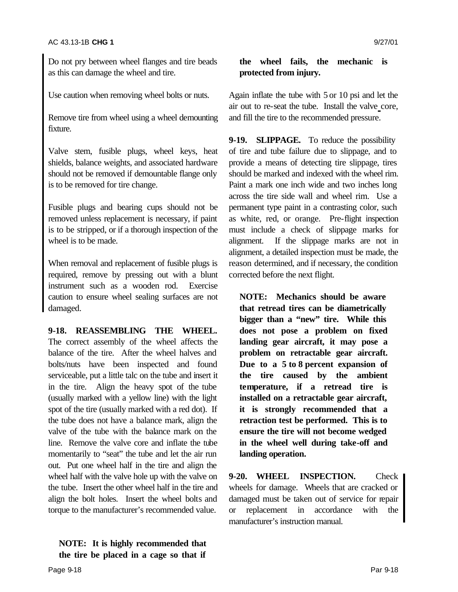Do not pry between wheel flanges and tire beads as this can damage the wheel and tire.

Use caution when removing wheel bolts or nuts.

Remove tire from wheel using a wheel demounting fixture.

Valve stem, fusible plugs, wheel keys, heat shields, balance weights, and associated hardware should not be removed if demountable flange only is to be removed for tire change.

Fusible plugs and bearing cups should not be removed unless replacement is necessary, if paint is to be stripped, or if a thorough inspection of the wheel is to be made.

When removal and replacement of fusible plugs is required, remove by pressing out with a blunt instrument such as a wooden rod. Exercise caution to ensure wheel sealing surfaces are not damaged.

**9-18. REASSEMBLING THE WHEEL.** The correct assembly of the wheel affects the balance of the tire. After the wheel halves and bolts/nuts have been inspected and found serviceable, put a little talc on the tube and insert it in the tire. Align the heavy spot of the tube (usually marked with a yellow line) with the light spot of the tire (usually marked with a red dot). If the tube does not have a balance mark, align the valve of the tube with the balance mark on the line. Remove the valve core and inflate the tube momentarily to "seat" the tube and let the air run out. Put one wheel half in the tire and align the wheel half with the valve hole up with the valve on the tube. Insert the other wheel half in the tire and align the bolt holes. Insert the wheel bolts and torque to the manufacturer's recommended value.

### **NOTE: It is highly recommended that the tire be placed in a cage so that if**

# **the wheel fails, the mechanic is protected from injury.**

Again inflate the tube with 5 or 10 psi and let the air out to re-seat the tube. Install the valve core, and fill the tire to the recommended pressure.

**9-19. SLIPPAGE.** To reduce the possibility of tire and tube failure due to slippage, and to provide a means of detecting tire slippage, tires should be marked and indexed with the wheel rim. Paint a mark one inch wide and two inches long across the tire side wall and wheel rim. Use a permanent type paint in a contrasting color, such as white, red, or orange. Pre-flight inspection must include a check of slippage marks for alignment. If the slippage marks are not in alignment, a detailed inspection must be made, the reason determined, and if necessary, the condition corrected before the next flight.

**NOTE: Mechanics should be aware that retread tires can be diametrically bigger than a "new" tire. While this does not pose a problem on fixed landing gear aircraft, it may pose a problem on retractable gear aircraft. Due to a 5 to 8 percent expansion of the tire caused by the ambient temperature, if a retread tire is installed on a retractable gear aircraft, it is strongly recommended that a retraction test be performed. This is to ensure the tire will not become wedged in the wheel well during take-off and landing operation.** 

**9-20. WHEEL INSPECTION.** Check wheels for damage. Wheels that are cracked or damaged must be taken out of service for repair or replacement in accordance with the manufacturer's instruction manual.